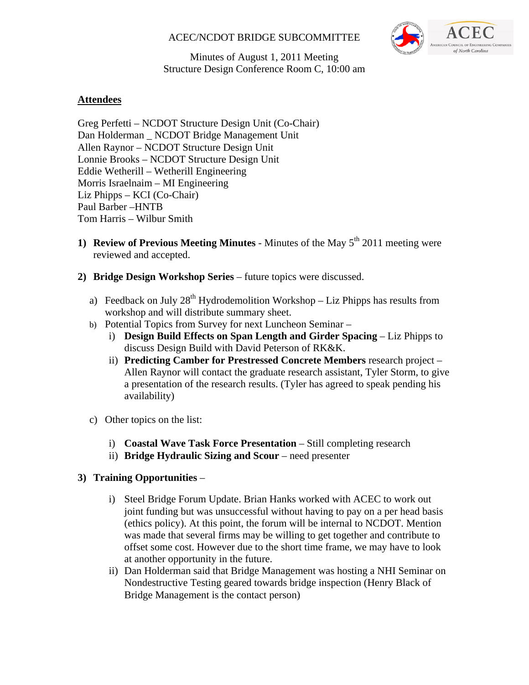# ACEC/NCDOT BRIDGE SUBCOMMITTEE



Minutes of August 1, 2011 Meeting Structure Design Conference Room C, 10:00 am

# **Attendees**

Greg Perfetti – NCDOT Structure Design Unit (Co-Chair) Dan Holderman \_ NCDOT Bridge Management Unit Allen Raynor – NCDOT Structure Design Unit Lonnie Brooks – NCDOT Structure Design Unit Eddie Wetherill – Wetherill Engineering Morris Israelnaim – MI Engineering Liz Phipps – KCI (Co-Chair) Paul Barber –HNTB Tom Harris – Wilbur Smith

- **1) Review of Previous Meeting Minutes** Minutes of the May  $5^{th}$  2011 meeting were reviewed and accepted.
- **2) Bridge Design Workshop Series** future topics were discussed.
	- a) Feedback on July  $28<sup>th</sup>$  Hydrodemolition Workshop Liz Phipps has results from workshop and will distribute summary sheet.
	- b) Potential Topics from Survey for next Luncheon Seminar
		- i) **Design Build Effects on Span Length and Girder Spacing** Liz Phipps to discuss Design Build with David Peterson of RK&K.
		- ii) **Predicting Camber for Prestressed Concrete Members** research project Allen Raynor will contact the graduate research assistant, Tyler Storm, to give a presentation of the research results. (Tyler has agreed to speak pending his availability)
	- c) Other topics on the list:
		- i) **Coastal Wave Task Force Presentation** Still completing research
		- ii) **Bridge Hydraulic Sizing and Scour** need presenter

## **3) Training Opportunities** –

- i) Steel Bridge Forum Update. Brian Hanks worked with ACEC to work out joint funding but was unsuccessful without having to pay on a per head basis (ethics policy). At this point, the forum will be internal to NCDOT. Mention was made that several firms may be willing to get together and contribute to offset some cost. However due to the short time frame, we may have to look at another opportunity in the future.
- ii) Dan Holderman said that Bridge Management was hosting a NHI Seminar on Nondestructive Testing geared towards bridge inspection (Henry Black of Bridge Management is the contact person)